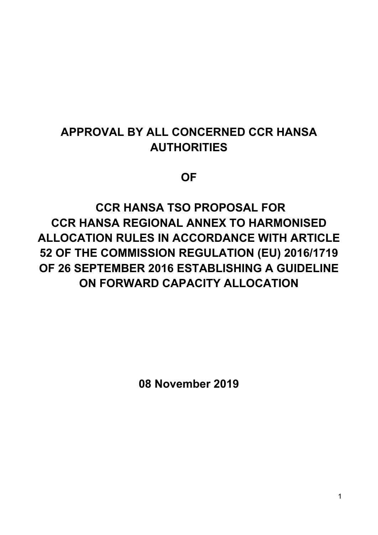# **APPROVAL BY ALL CONCERNED CCR HANSA AUTHORITIES**

**OF** 

 **CCR HANSA TSO PROPOSAL FOR CCR HANSA REGIONAL ANNEX TO HARMONISED ALLOCATION RULES IN ACCORDANCE WITH ARTICLE 52 OF THE COMMISSION REGULATION (EU) 2016/1719 OF 26 SEPTEMBER 2016 ESTABLISHING A GUIDELINE ON FORWARD CAPACITY ALLOCATION** 

**08 November 2019**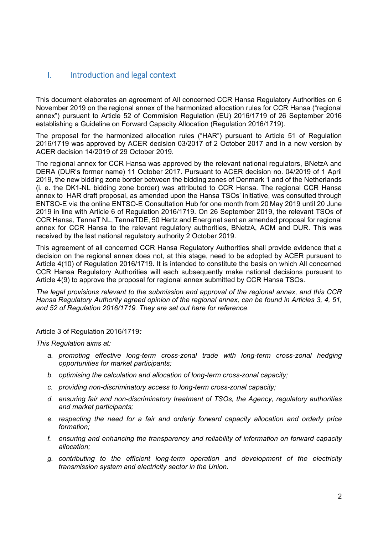#### I. Introduction and legal context

This document elaborates an agreement of All concerned CCR Hansa Regulatory Authorities on 6 November 2019 on the regional annex of the harmonized allocation rules for CCR Hansa ("regional annex") pursuant to Article 52 of Commision Regulation (EU) 2016/1719 of 26 September 2016 establishing a Guideline on Forward Capacity Allocation (Regulation 2016/1719).

The proposal for the harmonized allocation rules ("HAR") pursuant to Article 51 of Regulation 2016/1719 was approved by ACER decision 03/2017 of 2 October 2017 and in a new version by ACER decision 14/2019 of 29 October 2019.

The regional annex for CCR Hansa was approved by the relevant national regulators, BNetzA and DERA (DUR's former name) 11 October 2017. Pursuant to ACER decision no. 04/2019 of 1 April 2019, the new bidding zone border between the bidding zones of Denmark 1 and of the Netherlands (i. e. the DK1-NL bidding zone border) was attributed to CCR Hansa. The regional CCR Hansa annex to HAR draft proposal, as amended upon the Hansa TSOs' initiative, was consulted through ENTSO-E via the online ENTSO-E Consultation Hub for one month from 20 May 2019 until 20 June 2019 in line with Article 6 of Regulation 2016/1719. On 26 September 2019, the relevant TSOs of CCR Hansa, TenneT NL, TenneTDE, 50 Hertz and Energinet sent an amended proposal for regional annex for CCR Hansa to the relevant regulatory authorities, BNetzA, ACM and DUR. This was received by the last national regulatory authority 2 October 2019.

This agreement of all concerned CCR Hansa Regulatory Authorities shall provide evidence that a decision on the regional annex does not, at this stage, need to be adopted by ACER pursuant to Article 4(10) of Regulation 2016/1719. It is intended to constitute the basis on which All concerned CCR Hansa Regulatory Authorities will each subsequently make national decisions pursuant to Article 4(9) to approve the proposal for regional annex submitted by CCR Hansa TSOs.

*The legal provisions relevant to the submission and approval of the regional annex, and this CCR Hansa Regulatory Authority agreed opinion of the regional annex, can be found in Articles 3, 4, 51, and 52 of Regulation 2016/1719. They are set out here for reference.*

Article 3 of Regulation 2016/1719*:*

*This Regulation aims at:* 

- *a. promoting effective long-term cross-zonal trade with long-term cross-zonal hedging opportunities for market participants;*
- *b. optimising the calculation and allocation of long-term cross-zonal capacity;*
- *c. providing non-discriminatory access to long-term cross-zonal capacity;*
- *d. ensuring fair and non-discriminatory treatment of TSOs, the Agency, regulatory authorities and market participants;*
- *e. respecting the need for a fair and orderly forward capacity allocation and orderly price formation;*
- *f. ensuring and enhancing the transparency and reliability of information on forward capacity allocation;*
- *g. contributing to the efficient long-term operation and development of the electricity transmission system and electricity sector in the Union.*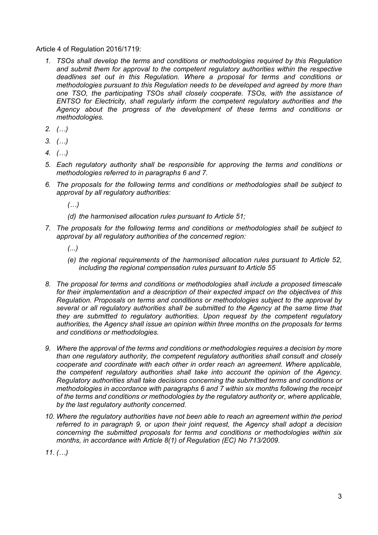Article 4 of Regulation 2016/1719:

- *1. TSOs shall develop the terms and conditions or methodologies required by this Regulation and submit them for approval to the competent regulatory authorities within the respective deadlines set out in this Regulation. Where a proposal for terms and conditions or methodologies pursuant to this Regulation needs to be developed and agreed by more than one TSO, the participating TSOs shall closely cooperate. TSOs, with the assistance of ENTSO for Electricity, shall regularly inform the competent regulatory authorities and the Agency about the progress of the development of these terms and conditions or methodologies.*
- *2. (…)*
- *3. (…)*
- *4. (…)*
- *5. Each regulatory authority shall be responsible for approving the terms and conditions or methodologies referred to in paragraphs 6 and 7.*
- *6. The proposals for the following terms and conditions or methodologies shall be subject to approval by all regulatory authorities:* 
	- *(…)*
	- *(d) the harmonised allocation rules pursuant to Article 51;*
- *7. The proposals for the following terms and conditions or methodologies shall be subject to approval by all regulatory authorities of the concerned region:* 
	- *(...)*
	- *(e) the regional requirements of the harmonised allocation rules pursuant to Article 52, including the regional compensation rules pursuant to Article 55*
- *8. The proposal for terms and conditions or methodologies shall include a proposed timescale for their implementation and a description of their expected impact on the objectives of this Regulation. Proposals on terms and conditions or methodologies subject to the approval by several or all regulatory authorities shall be submitted to the Agency at the same time that they are submitted to regulatory authorities. Upon request by the competent regulatory authorities, the Agency shall issue an opinion within three months on the proposals for terms and conditions or methodologies.*
- *9. Where the approval of the terms and conditions or methodologies requires a decision by more than one regulatory authority, the competent regulatory authorities shall consult and closely cooperate and coordinate with each other in order reach an agreement. Where applicable, the competent regulatory authorities shall take into account the opinion of the Agency. Regulatory authorities shall take decisions concerning the submitted terms and conditions or methodologies in accordance with paragraphs 6 and 7 within six months following the receipt of the terms and conditions or methodologies by the regulatory authority or, where applicable, by the last regulatory authority concerned.*
- *10. Where the regulatory authorities have not been able to reach an agreement within the period referred to in paragraph 9, or upon their joint request, the Agency shall adopt a decision concerning the submitted proposals for terms and conditions or methodologies within six months, in accordance with Article 8(1) of Regulation (EC) No 713/2009.*

*11. (…)*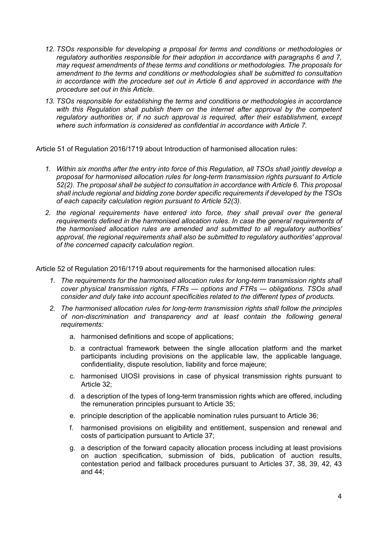- *12. TSOs responsible for developing a proposal for terms and conditions or methodologies or regulatory authorities responsible for their adoption in accordance with paragraphs 6 and 7, may request amendments of these terms and conditions or methodologies. The proposals for amendment to the terms and conditions or methodologies shall be submitted to consultation in accordance with the procedure set out in Article 6 and approved in accordance with the procedure set out in this Article.*
- *13. TSOs responsible for establishing the terms and conditions or methodologies in accordance with this Regulation shall publish them on the internet after approval by the competent regulatory authorities or, if no such approval is required, after their establishment, except where such information is considered as confidential in accordance with Article 7.*

Article 51 of Regulation 2016/1719 about Introduction of harmonised allocation rules:

- *1. Within six months after the entry into force of this Regulation, all TSOs shall jointly develop a proposal for harmonised allocation rules for long-term transmission rights pursuant to Article 52(2). The proposal shall be subject to consultation in accordance with Article 6. This proposal shall include regional and bidding zone border specific requirements if developed by the TSOs of each capacity calculation region pursuant to Article 52(3).*
- *2. the regional requirements have entered into force, they shall prevail over the general requirements defined in the harmonised allocation rules. In case the general requirements of the harmonised allocation rules are amended and submitted to all regulatory authorities' approval, the regional requirements shall also be submitted to regulatory authorities' approval of the concerned capacity calculation region.*

Article 52 of Regulation 2016/1719 about requirements for the harmonised allocation rules:

- *1. The requirements for the harmonised allocation rules for long-term transmission rights shall cover physical transmission rights, FTRs — options and FTRs — obligations. TSOs shall consider and duly take into account specificities related to the different types of products.*
- *2. The harmonised allocation rules for long-term transmission rights shall follow the principles of non-discrimination and transparency and at least contain the following general requirements:* 
	- a. harmonised definitions and scope of applications;
	- b. a contractual framework between the single allocation platform and the market participants including provisions on the applicable law, the applicable language, confidentiality, dispute resolution, liability and force majeure;
	- c. harmonised UIOSI provisions in case of physical transmission rights pursuant to Article 32;
	- d. a description of the types of long-term transmission rights which are offered, including the remuneration principles pursuant to Article 35;
	- e. principle description of the applicable nomination rules pursuant to Article 36;
	- f. harmonised provisions on eligibility and entitlement, suspension and renewal and costs of participation pursuant to Article 37;
	- g. a description of the forward capacity allocation process including at least provisions on auction specification, submission of bids, publication of auction results, contestation period and fallback procedures pursuant to Articles 37, 38, 39, 42, 43 and 44;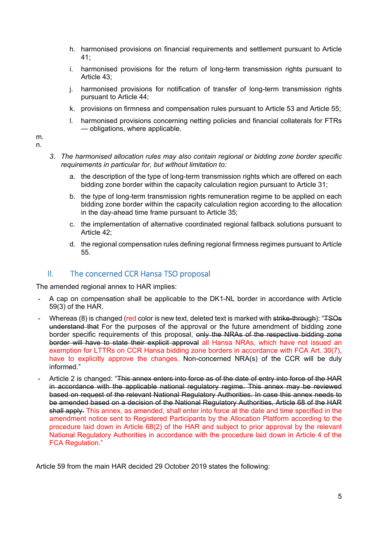- h. harmonised provisions on financial requirements and settlement pursuant to Article 41;
- i. harmonised provisions for the return of long-term transmission rights pursuant to Article 43;
- j. harmonised provisions for notification of transfer of long-term transmission rights pursuant to Article 44;
- k. provisions on firmness and compensation rules pursuant to Article 53 and Article 55;
- l. harmonised provisions concerning netting policies and financial collaterals for FTRs — obligations, where applicable.

m. n.

- *3. The harmonised allocation rules may also contain regional or bidding zone border specific requirements in particular for, but without limitation to:* 
	- a. the description of the type of long-term transmission rights which are offered on each bidding zone border within the capacity calculation region pursuant to Article 31;
	- b. the type of long-term transmission rights remuneration regime to be applied on each bidding zone border within the capacity calculation region according to the allocation in the day-ahead time frame pursuant to Article 35;
	- c. the implementation of alternative coordinated regional fallback solutions pursuant to Article 42;
	- d. the regional compensation rules defining regional firmness regimes pursuant to Article 55.

#### II. The concerned CCR Hansa TSO proposal

The amended regional annex to HAR implies:

- A cap on compensation shall be applicable to the DK1-NL border in accordance with Article 59(3) of the HAR.
- Whereas (8) is changed (red color is new text, deleted text is marked with strike-through): "TSOs understand that For the purposes of the approval or the future amendment of bidding zone border specific requirements of this proposal, only the NRAs of the respective bidding zone border will have to state their explicit approval all Hansa NRAs, which have not issued an exemption for LTTRs on CCR Hansa bidding zone borders in accordance with FCA Art. 30(7), have to explicitly approve the changes. Non-concerned NRA(s) of the CCR will be duly informed."
- Article 2 is changed: "This annex enters into force as of the date of entry into force of the HAR in accordance with the applicable national regulatory regime. This annex may be reviewed based on request of the relevant National Regulatory Authorities. In case this annex needs to be amended based on a decision of the National Regulatory Authorities, Article 68 of the HAR shall apply. This annex, as amended, shall enter into force at the date and time specified in the amendment notice sent to Registered Participants by the Allocation Platform according to the procedure laid down in Article 68(2) of the HAR and subject to prior approval by the relevant National Regulatory Authorities in accordance with the procedure laid down in Article 4 of the FCA Regulation."

Article 59 from the main HAR decided 29 October 2019 states the following: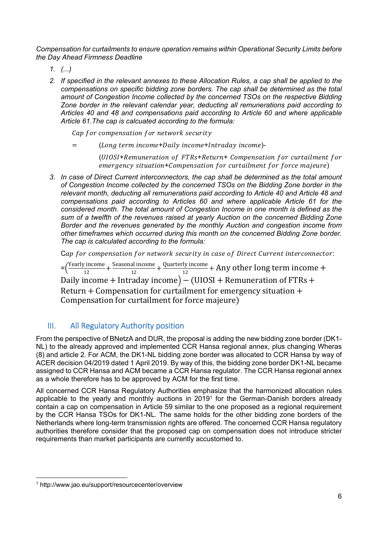*Compensation for curtailments to ensure operation remains within Operational Security Limits before the Day Ahead Firmness Deadline* 

- *1. (...)*
- *2. If specified in the relevant annexes to these Allocation Rules, a cap shall be applied to the compensations on specific bidding zone borders. The cap shall be determined as the total amount of Congestion Income collected by the concerned TSOs on the respective Bidding Zone border in the relevant calendar year, deducting all remunerations paid according to Articles 40 and 48 and compensations paid according to Article 60 and where applicable Article 61.The cap is calcuated according to the formula:*

Cap for compensation for network security

= (Long term income+Daily income+Intraday income)-

(UIOSI+Remuneration of FTRs+Return+ Compensation for curtailment for emergency situation+Compensation for curtailment for force majeure)

*3. In case of Direct Current interconnectors, the cap shall be determined as the total amount of Congestion Income collected by the concerned TSOs on the Bidding Zone border in the relevant month, deducting all remunerations paid according to Article 40 and Article 48 and compensations paid according to Articles 60 and where applicable Article 61 for the considered month. The total amount of Congestion Income in one month is defined as the sum of a twelfth of the revenues raised at yearly Auction on the concerned Bidding Zone Border and the revenues generated by the monthly Auction and congestion income from other timeframes which occurred during this month on the concerned Bidding Zone border. The cap is calculated according to the formula:* 

Cap for compensation for network security in case of Direct Current interconnector:

 $=\left(\frac{Yearly\ income}{12} + \frac{Seasonal\ income}{12} + \frac{Quarterly\ income}{12} + Any\ other\ long\ term\ income +$ Daily income + Intraday income)  $-$  (UIOSI + Remuneration of FTRs + Return  $+$  Compensation for curtailment for emergency situation  $+$ Compensation for curtailment for force majeure)

## III. All Regulatory Authority position

From the perspective of BNetzA and DUR, the proposal is adding the new bidding zone border (DK1- NL) to the already approved and implemented CCR Hansa regional annex, plus changing Wheras (8) and article 2. For ACM, the DK1-NL bidding zone border was allocated to CCR Hansa by way of ACER decision 04/2019 dated 1 April 2019. By way of this, the bidding zone border DK1-NL became assigned to CCR Hansa and ACM became a CCR Hansa regulator. The CCR Hansa regional annex as a whole therefore has to be approved by ACM for the first time.

All concerned CCR Hansa Regulatory Authorities emphasize that the harmonized allocation rules applicable to the yearly and monthly auctions in 20191 for the German-Danish borders already contain a cap on compensation in Article 59 similar to the one proposed as a regional requirement by the CCR Hansa TSOs for DK1-NL. The same holds for the other bidding zone borders of the Netherlands where long-term transmission rights are offered. The concerned CCR Hansa regulatory authorities therefore consider that the proposed cap on compensation does not introduce stricter requirements than market participants are currently accustomed to.

<sup>1</sup> http://www.jao.eu/support/resourcecenter/overview